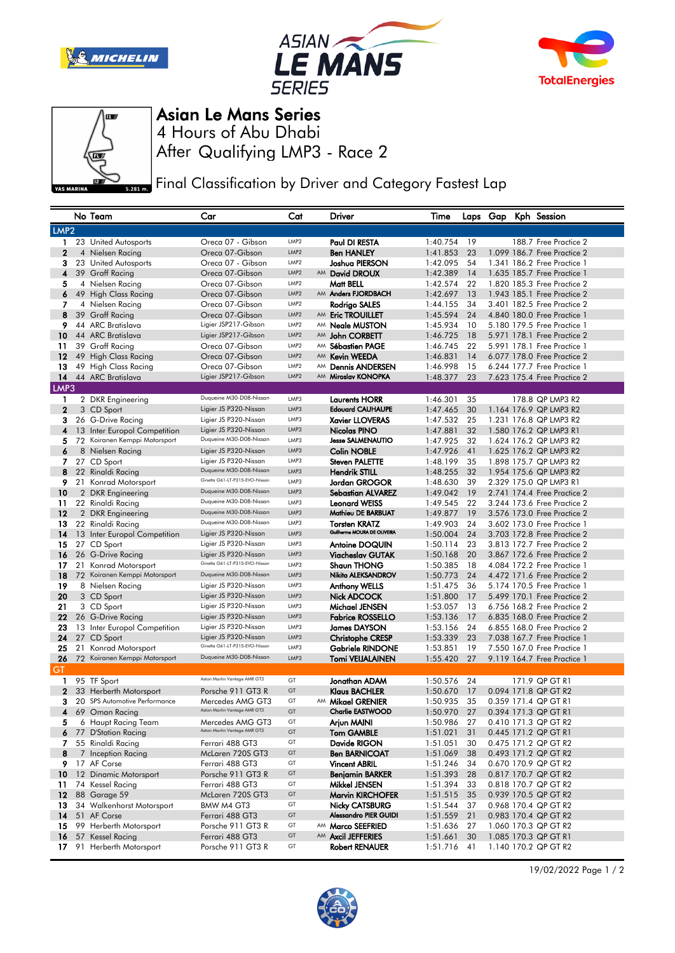







Asian Le Mans Series

After Qualifying LMP3 - Race 2 4 Hours of Abu Dhabi

Final Classification by Driver and Category Fastest Lap

|                  |    | No Team                             | Car                                            | Cat              |    | Driver                                         | Time                 |          |  | Laps Gap Kph Session                                       |
|------------------|----|-------------------------------------|------------------------------------------------|------------------|----|------------------------------------------------|----------------------|----------|--|------------------------------------------------------------|
| LMP <sub>2</sub> |    |                                     |                                                |                  |    |                                                |                      |          |  |                                                            |
| 1.               |    | 23 United Autosports                | Oreca 07 - Gibson                              | LMP <sub>2</sub> |    | Paul DI RESTA                                  | 1:40.754             | 19       |  | 188.7 Free Practice 2                                      |
| $\mathbf{2}$     |    | 4 Nielsen Racing                    | Oreca 07-Gibson                                | LMP <sub>2</sub> |    | <b>Ben HANLEY</b>                              | 1:41.853             | 23       |  | 1.099 186.7 Free Practice 2                                |
| з                |    | 23 United Autosports                | Oreca 07 - Gibson                              | LMP <sub>2</sub> |    | Joshua PIERSON                                 | 1:42.095             | 54       |  | 1.341 186.2 Free Practice 1                                |
| 4                |    | 39 Graff Racing                     | Oreca 07-Gibson                                | LMP2             |    | AM David DROUX                                 | 1:42.389             | 14       |  | 1.635 185.7 Free Practice 1                                |
| 5                |    | 4 Nielsen Racing                    | Oreca 07-Gibson                                | LMP <sub>2</sub> |    | Matt BELL                                      | 1:42.574             | 22       |  | 1,820 185,3 Free Practice 2                                |
| 6                |    | 49 High Class Racing                | Oreca 07-Gibson                                | LMP <sub>2</sub> |    | AM Anders FJORDBACH                            | 1:42.697             | 13       |  | 1.943 185.1 Free Practice 2                                |
| 7                |    | 4 Nielsen Racing                    | Oreca 07-Gibson                                | LMP <sub>2</sub> |    | Rodrigo SALES                                  | 1:44.155             | 34       |  | 3.401 182.5 Free Practice 2                                |
| 8                |    | 39 Graff Racing                     | Oreca 07-Gibson                                | LMP2             |    | AM Eric TROUILLET                              | 1:45.594             | 24       |  | 4.840 180.0 Free Practice 1                                |
| 9                |    | 44 ARC Bratislava                   | Ligier JSP217-Gibson                           | LMP <sub>2</sub> |    | AM Neale MUSTON                                | 1:45.934             | 10       |  | 5.180 179.5 Free Practice 1                                |
| 10               |    | 44 ARC Bratislava                   | Ligier JSP217-Gibson                           | LMP2             |    | AM John CORBETT                                | 1:46.725             | 18       |  | 5.971 178.1 Free Practice 2                                |
| 11               |    | 39 Graff Racing                     | Oreca 07-Gibson                                | LMP <sub>2</sub> |    | AM Sébastien PAGE                              | 1:46.745             | 22       |  | 5.991 178.1 Free Practice 1                                |
| 12               |    | 49 High Class Racing                | Oreca 07-Gibson                                | LMP2             | AM | <b>Kevin WEEDA</b>                             | 1:46.831             | 14       |  | 6.077 178.0 Free Practice 2                                |
| 13               |    | 49 High Class Racing                | Oreca 07-Gibson                                | LMP <sub>2</sub> | AM | <b>Dennis ANDERSEN</b>                         | 1:46.998             | 15       |  | 6.244 177.7 Free Practice 1                                |
| 14               |    | 44 ARC Bratislava                   | Ligier JSP217-Gibson                           | LMP2             | AM | Miroslav KONOPKA                               | 1:48.377             | 23       |  | 7.623 175.4 Free Practice 2                                |
| LMP3             |    |                                     |                                                |                  |    |                                                |                      |          |  |                                                            |
| 1                |    | 2 DKR Engineering                   | Duqueine M30-D08-Nissan                        | LMP3             |    | <b>Laurents HORR</b>                           | 1:46.301             | 35       |  | 178.8 QP LMP3 R2                                           |
| $\mathbf{2}$     |    | 3 CD Sport                          | Ligier JS P320-Nissan                          | LMP3             |    | <b>Edouard CAUHAUPE</b>                        | 1:47.465             | 30       |  | 1.164 176.9 QP LMP3 R2                                     |
| 3                |    | 26 G-Drive Racing                   | Ligier JS P320-Nissan                          | LMP3             |    | <b>Xavier LLOVERAS</b>                         | 1:47.532             | 25       |  | 1.231 176.8 QP LMP3 R2                                     |
| 4                |    | 13 Inter Europol Competition        | Ligier JS P320-Nissan                          | LMP3             |    | Nicolas PINO                                   | 1:47.881             | 32       |  | 1.580 176.2 QP LMP3 R1                                     |
| 5                |    | 72 Koiranen Kemppi Motorsport       | Duqueine M30-D08-Nissan                        | LMP3             |    | <b>Jesse SALMENAUTIO</b>                       | 1:47.925             | 32       |  | 1.624 176.2 QP LMP3 R2                                     |
| 6                |    | 8 Nielsen Racing                    | Ligier JS P320-Nissan                          | LMP3             |    | <b>Colin NOBLE</b>                             | 1:47.926             | 41       |  | 1.625 176.2 QP LMP3 R2                                     |
| 7                |    | 27 CD Sport                         | Ligier JS P320-Nissan                          | LMP3             |    | <b>Steven PALETTE</b>                          | 1:48.199             | 35       |  | 1.898 175.7 QP LMP3 R2                                     |
| 8                |    | 22 Rinaldi Racing                   | Duqueine M30-D08-Nissan                        | LMP3             |    | <b>Hendrik STILL</b>                           | 1:48.255             | 32       |  | 1.954 175.6 QP LMP3 R2                                     |
| 9.               |    | 21 Konrad Motorsport                | Ginetta G61-LT-P315-EVO-Nissan                 | LMP3             |    | <b>Jordan GROGOR</b>                           | 1:48.630             | 39       |  | 2.329 175.0 QP LMP3 R1                                     |
| 10               |    | 2 DKR Engineering                   | Duqueine M30-D08-Nissan                        | LMP3             |    | <b>Sebastian ALVAREZ</b>                       | 1:49.042             | 19       |  | 2.741 174.4 Free Practice 2                                |
| 11               |    | 22 Rinaldi Racing                   | Duqueine M30-D08-Nissan                        | LMP3             |    | <b>Leonard WEISS</b>                           | 1:49.545             | 22       |  | 3.244 173.6 Free Practice 2                                |
| 12               |    | 2 DKR Engineering                   | Duqueine M30-D08-Nissan                        | LMP3             |    | Mathieu DE BARBUAT                             | 1:49.877             | 19       |  | 3.576 173.0 Free Practice 2                                |
| 13               |    | 22 Rinaldi Racing                   | Duqueine M30-D08-Nissan                        | LMP3             |    | <b>Torsten KRATZ</b>                           | 1:49.903             | 24       |  | 3.602 173.0 Free Practice 1                                |
| 14               |    | 13 Inter Europol Competition        | Ligier JS P320-Nissan                          | LMP3             |    | Guilherme MOURA DE OLIVEIRA                    | 1:50.004             | 24       |  | 3.703 172.8 Free Practice 2                                |
| 15               |    | 27 CD Sport                         | Ligier JS P320-Nissan                          | LMP3             |    | <b>Antoine DOQUIN</b>                          | 1:50.114             | 23       |  | 3.813 172.7 Free Practice 2                                |
| 16               |    | 26 G-Drive Racing                   | Ligier JS P320-Nissan                          | LMP3             |    | <b>Viacheslav GUTAK</b>                        | 1:50.168             | 20       |  | 3.867 172.6 Free Practice 2                                |
| 17               |    | 21 Konrad Motorsport                | Ginetta G61-LT-P315-EVO-Nissan                 | LMP3             |    | <b>Shaun THONG</b>                             | 1:50.385             | 18       |  | 4.084 172.2 Free Practice 1                                |
| 18               |    | 72 Koiranen Kemppi Motorsport       | Duqueine M30-D08-Nissan                        | LMP3             |    | Nikita ALEKSANDROV                             | 1:50.773             | 24       |  | 4.472 171.6 Free Practice 2                                |
| 19               |    | 8 Nielsen Racing                    | Ligier JS P320-Nissan                          | LMP3             |    | <b>Anthony WELLS</b>                           | 1:51.475             | 36       |  | 5.174 170.5 Free Practice 1                                |
| 20               |    | 3 CD Sport                          | Ligier JS P320-Nissan                          | LMP3             |    | Nick ADCOCK                                    | 1:51.800             | 17       |  | 5.499 170.1 Free Practice 2                                |
| 21               |    | 3 CD Sport                          | Ligier JS P320-Nissan                          | LMP3<br>LMP3     |    | Michael JENSEN                                 | 1:53.057             | 13       |  | 6.756 168.2 Free Practice 2                                |
| 22               |    | 26 G-Drive Racing                   | Ligier JS P320-Nissan<br>Ligier JS P320-Nissan | LMP3             |    | <b>Fabrice ROSSELLO</b>                        | 1:53.136             | 17       |  | 6.835 168.0 Free Practice 2                                |
| 23<br>24         |    | 13 Inter Europol Competition        | Ligier JS P320-Nissan                          | LMP3             |    | <b>James DAYSON</b><br><b>Christophe CRESP</b> | 1:53.156<br>1:53.339 | 24<br>23 |  | 6.855 168.0 Free Practice 2<br>7.038 167.7 Free Practice 1 |
| 25               |    | 27 CD Sport<br>21 Konrad Motorsport | Ginetta G61-LT-P315-EVO-Nissan                 | LMP3             |    | <b>Gabriele RINDONE</b>                        | 1:53.851             | 19       |  | 7,550 167.0 Free Practice 1                                |
| 26               |    | 72 Koiranen Kemppi Motorsport       | Duqueine M30-D08-Nissan                        | LMP3             |    | <b>Tomi VEIJALAINEN</b>                        | 1:55.420             | 27       |  | 9.119 164.7 Free Practice 1                                |
| GT               |    |                                     |                                                |                  |    |                                                |                      |          |  |                                                            |
| 1                |    | 95 TF Sport                         | Aston Martin Vantage AMR GT3                   | GT               |    | Jonathan ADAM                                  | 1:50.576             | 24       |  | 171.9 QP GT R1                                             |
| $\mathbf 2$      |    | 33 Herberth Motorsport              | Porsche 911 GT3 R                              | GT               |    | <b>Klaus BACHLER</b>                           | 1:50.670             | 17       |  | 0.094 171.8 QP GT R2                                       |
| з                |    | 20 SPS Automotive Performance       | Mercedes AMG GT3                               | GT               |    | AM Mikael GRENIER                              | 1:50.935             | 35       |  | 0.359 171.4 QP GT R1                                       |
| 4                |    | 69 Oman Racing                      | Aston Martin Vantage AMR GT3                   | GT               |    | <b>Charlie EASTWOOD</b>                        | 1:50.970             | 27       |  | 0.394 171.3 QP GT R1                                       |
| 5                |    | 6 Haupt Racing Team                 | Mercedes AMG GT3                               | GT               |    | Arjun MAINI                                    | 1:50.986             | 27       |  | 0.410 171.3 QP GT R2                                       |
|                  |    | 6 77 D'Station Racing               | Aston Martin Vantage AMR GT3                   | GT               |    | <b>Tom GAMBLE</b>                              | 1:51.021             | 31       |  | 0.445 171.2 QP GT R1                                       |
|                  |    | 7 55 Rinaldi Racing                 | Ferrari 488 GT3                                | GT               |    | Davide RIGON                                   | 1:51.051             | 30       |  | 0.475 171.2 QP GT R2                                       |
| 8                |    | 7 Inception Racing                  | McLaren 720S GT3                               | GT               |    | <b>Ben BARNICOAT</b>                           | 1:51.069             | 38       |  | 0.493 171.2 QP GT R2                                       |
|                  |    | 9 17 AF Corse                       | Ferrari 488 GT3                                | GT               |    | <b>Vincent ABRIL</b>                           | 1:51.246             | 34       |  | 0.670 170.9 QP GT R2                                       |
| 10               |    | 12 Dinamic Motorsport               | Porsche 911 GT3 R                              | GT               |    | <b>Benjamin BARKER</b>                         | 1:51.393             | 28       |  | 0.817 170.7 QP GT R2                                       |
| 11               |    | 74 Kessel Racing                    | Ferrari 488 GT3                                | GT               |    | Mikkel JENSEN                                  | 1:51.394             | 33       |  | 0.818 170.7 QP GT R2                                       |
|                  |    | <b>12</b> 88 Garage 59              | McLaren 720S GT3                               | GT               |    | <b>Marvin KIRCHOFER</b>                        | 1:51.515             | 35       |  | 0.939 170.5 QP GT R2                                       |
| 13               |    | 34 Walkenhorst Motorsport           | BMW M4 GT3                                     | GT               |    | <b>Nicky CATSBURG</b>                          | 1:51.544             | 37       |  | 0.968 170.4 QP GT R2                                       |
| 14               |    | 51 AF Corse                         | Ferrari 488 GT3                                | GT               |    | <b>Alessandro PIER GUIDI</b>                   | 1:51.559             | 21       |  | 0.983 170.4 QP GT R2                                       |
| 15               |    | 99 Herberth Motorsport              | Porsche 911 GT3 R                              | GT               |    | AM Marco SEEFRIED                              | 1:51.636             | 27       |  | 1.060 170.3 QP GT R2                                       |
| 16               |    | 57 Kessel Racing                    | Ferrari 488 GT3                                | GT               |    | AM Axcil JEFFERIES                             | 1:51.661             | 30       |  | 1.085 170.3 QP GT R1                                       |
| 17 <sup>2</sup>  | 91 | Herberth Motorsport                 | Porsche 911 GT3 R                              | GT               |    | Robert RENAUER                                 | 1:51.716             | 41       |  | 1.140 170.2 QP GT R2                                       |